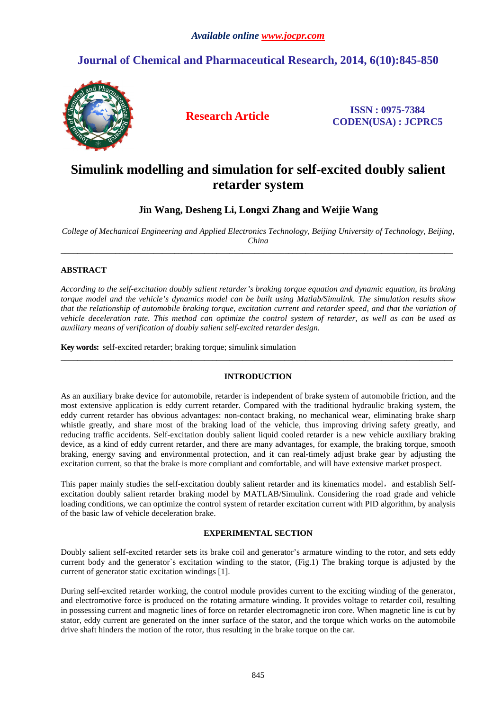## **Journal of Chemical and Pharmaceutical Research, 2014, 6(10):845-850**



**Research Article ISSN : 0975-7384 CODEN(USA) : JCPRC5**

# **Simulink modelling and simulation for self-excited doubly salient retarder system**

**Jin Wang, Desheng Li, Longxi Zhang and Weijie Wang** 

*College of Mechanical Engineering and Applied Electronics Technology, Beijing University of Technology, Beijing, China*  \_\_\_\_\_\_\_\_\_\_\_\_\_\_\_\_\_\_\_\_\_\_\_\_\_\_\_\_\_\_\_\_\_\_\_\_\_\_\_\_\_\_\_\_\_\_\_\_\_\_\_\_\_\_\_\_\_\_\_\_\_\_\_\_\_\_\_\_\_\_\_\_\_\_\_\_\_\_\_\_\_\_\_\_\_\_\_\_\_\_\_\_\_

## **ABSTRACT**

*According to the self-excitation doubly salient retarder's braking torque equation and dynamic equation, its braking torque model and the vehicle's dynamics model can be built using Matlab/Simulink. The simulation results show that the relationship of automobile braking torque, excitation current and retarder speed, and that the variation of vehicle deceleration rate. This method can optimize the control system of retarder, as well as can be used as auxiliary means of verification of doubly salient self-excited retarder design.* 

**Key words:** self-excited retarder; braking torque; simulink simulation

## **INTRODUCTION**

 $\overline{a}$  , and the contribution of the contribution of the contribution of the contribution of the contribution of the contribution of the contribution of the contribution of the contribution of the contribution of the co

As an auxiliary brake device for automobile, retarder is independent of brake system of automobile friction, and the most extensive application is eddy current retarder. Compared with the traditional hydraulic braking system, the eddy current retarder has obvious advantages: non-contact braking, no mechanical wear, eliminating brake sharp whistle greatly, and share most of the braking load of the vehicle, thus improving driving safety greatly, and reducing traffic accidents. Self-excitation doubly salient liquid cooled retarder is a new vehicle auxiliary braking device, as a kind of eddy current retarder, and there are many advantages, for example, the braking torque, smooth braking, energy saving and environmental protection, and it can real-timely adjust brake gear by adjusting the excitation current, so that the brake is more compliant and comfortable, and will have extensive market prospect.

This paper mainly studies the self-excitation doubly salient retarder and its kinematics model, and establish Selfexcitation doubly salient retarder braking model by MATLAB/Simulink. Considering the road grade and vehicle loading conditions, we can optimize the control system of retarder excitation current with PID algorithm, by analysis of the basic law of vehicle deceleration brake.

## **EXPERIMENTAL SECTION**

Doubly salient self-excited retarder sets its brake coil and generator's armature winding to the rotor, and sets eddy current body and the generator`s excitation winding to the stator, (Fig.1) The braking torque is adjusted by the current of generator static excitation windings [1].

During self-excited retarder working, the control module provides current to the exciting winding of the generator, and electromotive force is produced on the rotating armature winding. It provides voltage to retarder coil, resulting in possessing current and magnetic lines of force on retarder electromagnetic iron core. When magnetic line is cut by stator, eddy current are generated on the inner surface of the stator, and the torque which works on the automobile drive shaft hinders the motion of the rotor, thus resulting in the brake torque on the car.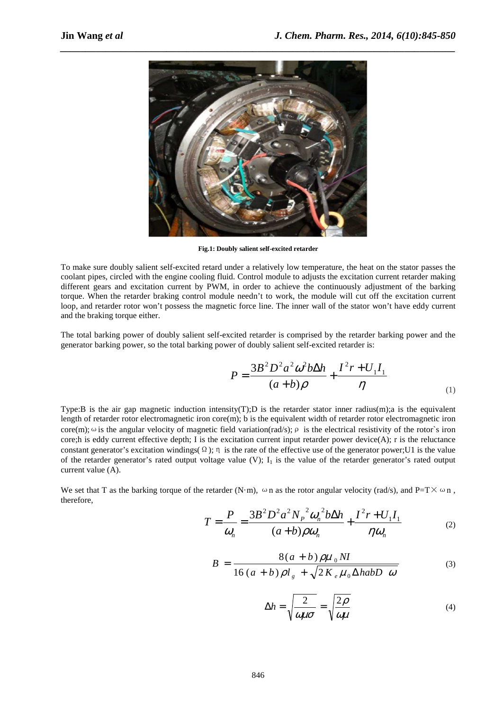

**Fig.1: Doubly salient self-excited retarder** 

To make sure doubly salient self-excited retard under a relatively low temperature, the heat on the stator passes the coolant pipes, circled with the engine cooling fluid. Control module to adjusts the excitation current retarder making different gears and excitation current by PWM, in order to achieve the continuously adjustment of the barking torque. When the retarder braking control module needn't to work, the module will cut off the excitation current loop, and retarder rotor won't possess the magnetic force line. The inner wall of the stator won't have eddy current and the braking torque either.

The total barking power of doubly salient self-excited retarder is comprised by the retarder barking power and the generator barking power, so the total barking power of doubly salient self-excited retarder is:

$$
P = \frac{3B^2 D^2 a^2 \omega^2 b \Delta h}{(a+b)\rho} + \frac{I^2 r + U_1 I_1}{\eta}
$$
 (1)

Type:B is the air gap magnetic induction intensity(T);D is the retarder stator inner radius(m);a is the equivalent length of retarder rotor electromagnetic iron core $(m)$ ; b is the equivalent width of retarder rotor electromagnetic iron core(m);  $\omega$  is the angular velocity of magnetic field variation(rad/s);  $\rho$  is the electrical resistivity of the rotor's iron core;h is eddy current effective depth; I is the excitation current input retarder power device(A); r is the reluctance constant generator's excitation windings( $\Omega$ );  $\eta$  is the rate of the effective use of the generator power;U1 is the value of the retarder generator's rated output voltage value (V);  $I_1$  is the value of the retarder generator's rated output current value (A).

We set that T as the barking torque of the retarder (N·m),  $\omega$  n as the rotor angular velocity (rad/s), and P=T $\times$  $\omega$  n, therefore,

$$
T = \frac{P}{\omega_n} = \frac{3B^2 D^2 a^2 N_p^2 \omega_n^2 b \Delta h}{(a+b)\rho \omega_n} + \frac{I^2 r + U_1 I_1}{\eta \omega_n}
$$
 (2)

$$
B = \frac{8(a+b)\rho\mu_0 NI}{16(a+b)\rho l_g + \sqrt{2K_e\mu_0 \Delta habD \omega}}
$$
(3)

$$
\Delta h = \sqrt{\frac{2}{\omega \mu \sigma}} = \sqrt{\frac{2\rho}{\omega \mu}}
$$
(4)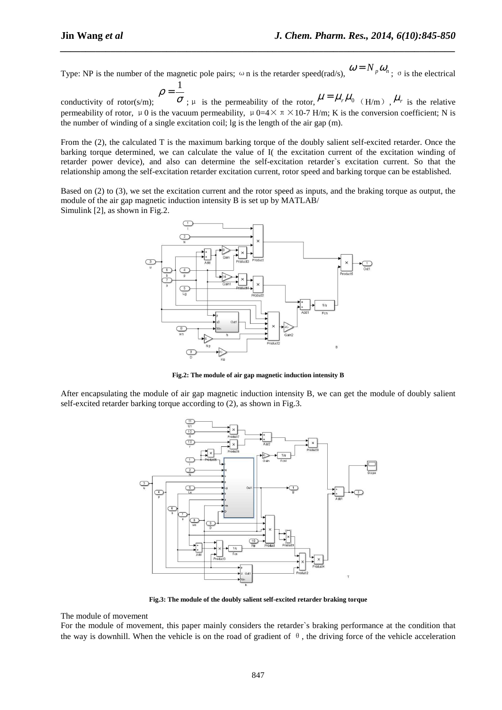Type: NP is the number of the magnetic pole pairs;  $\omega$  n is the retarder speed(rad/s),  $\omega = N_p \omega_n$ ;  $\sigma$  is the electrical 1

*\_\_\_\_\_\_\_\_\_\_\_\_\_\_\_\_\_\_\_\_\_\_\_\_\_\_\_\_\_\_\_\_\_\_\_\_\_\_\_\_\_\_\_\_\_\_\_\_\_\_\_\_\_\_\_\_\_\_\_\_\_\_\_\_\_\_\_\_\_\_\_\_\_\_\_\_\_\_*

conductivity of rotor $(s/m)$ ; ρ = ;  $\mu$  is the permeability of the rotor,  $\mu = \mu_r \mu_0$  (H/m),  $\mu_r$  is the relative permeability of rotor, μ0 is the vacuum permeability,  $\mu$  0=4 $\times$  π  $\times$  10-7 H/m; K is the conversion coefficient; N is the number of winding of a single excitation coil; lg is the length of the air gap (m).

From the (2), the calculated T is the maximum barking torque of the doubly salient self-excited retarder. Once the barking torque determined, we can calculate the value of I( the excitation current of the excitation winding of retarder power device), and also can determine the self-excitation retarder`s excitation current. So that the relationship among the self-excitation retarder excitation current, rotor speed and barking torque can be established.

Based on (2) to (3), we set the excitation current and the rotor speed as inputs, and the braking torque as output, the module of the air gap magnetic induction intensity B is set up by MATLAB/ Simulink [2], as shown in Fig.2.



**Fig.2: The module of air gap magnetic induction intensity B** 

After encapsulating the module of air gap magnetic induction intensity B, we can get the module of doubly salient self-excited retarder barking torque according to (2), as shown in Fig.3.



**Fig.3: The module of the doubly salient self-excited retarder braking torque** 

The module of movement

For the module of movement, this paper mainly considers the retarder`s braking performance at the condition that the way is downhill. When the vehicle is on the road of gradient of  $\theta$ , the driving force of the vehicle acceleration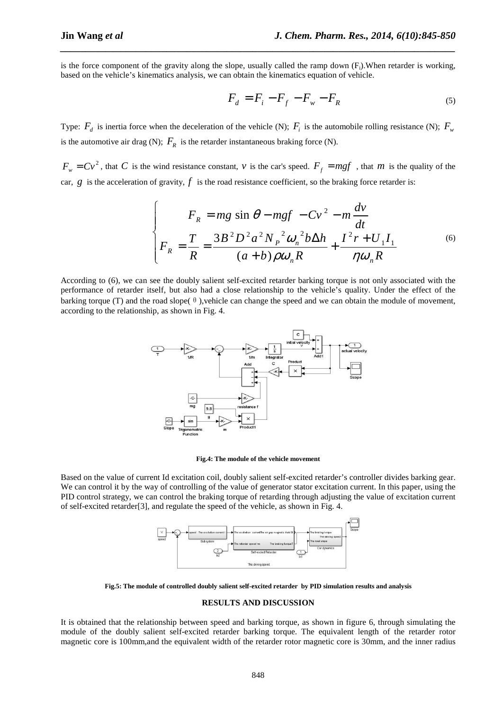is the force component of the gravity along the slope, usually called the ramp down  $(F_i)$ . When retarder is working, based on the vehicle's kinematics analysis, we can obtain the kinematics equation of vehicle.

*\_\_\_\_\_\_\_\_\_\_\_\_\_\_\_\_\_\_\_\_\_\_\_\_\_\_\_\_\_\_\_\_\_\_\_\_\_\_\_\_\_\_\_\_\_\_\_\_\_\_\_\_\_\_\_\_\_\_\_\_\_\_\_\_\_\_\_\_\_\_\_\_\_\_\_\_\_\_*

$$
F_d = F_i - F_f - F_w - F_R \tag{5}
$$

Type:  $F_d$  is inertia force when the deceleration of the vehicle (N);  $F_i$  is the automobile rolling resistance (N);  $F_w$ is the automotive air drag (N);  $F_R$  is the retarder instantaneous braking force (N).

 $F_w = Cv^2$ , that *C* is the wind resistance constant, *v* is the car's speed.  $F_f = mgf$ , that *m* is the quality of the car,  $g$  is the acceleration of gravity,  $f$  is the road resistance coefficient, so the braking force retarder is:

$$
\begin{cases}\nF_R = mg \sin \theta - mgf - Cv^2 - m\frac{dv}{dt} \\
F_R = \frac{T}{R} = \frac{3B^2D^2a^2N_P^2\omega_n^2b\Delta h}{(a+b)\rho\omega_nR} + \frac{I^2r + U_1I_1}{\eta\omega_nR}\n\end{cases} (6)
$$

According to (6), we can see the doubly salient self-excited retarder barking torque is not only associated with the performance of retarder itself, but also had a close relationship to the vehicle's quality. Under the effect of the barking torque (T) and the road slope( $\theta$ ), vehicle can change the speed and we can obtain the module of movement, according to the relationship, as shown in Fig. 4.



#### **Fig.4: The module of the vehicle movement**

Based on the value of current Id excitation coil, doubly salient self-excited retarder's controller divides barking gear. We can control it by the way of controlling of the value of generator stator excitation current. In this paper, using the PID control strategy, we can control the braking torque of retarding through adjusting the value of excitation current of self-excited retarder[3], and regulate the speed of the vehicle, as shown in Fig. 4.



**Fig.5: The module of controlled doubly salient self-excited retarder by PID simulation results and analysis** 

#### **RESULTS AND DISCUSSION**

It is obtained that the relationship between speed and barking torque, as shown in figure 6, through simulating the module of the doubly salient self-excited retarder barking torque. The equivalent length of the retarder rotor magnetic core is 100mm,and the equivalent width of the retarder rotor magnetic core is 30mm, and the inner radius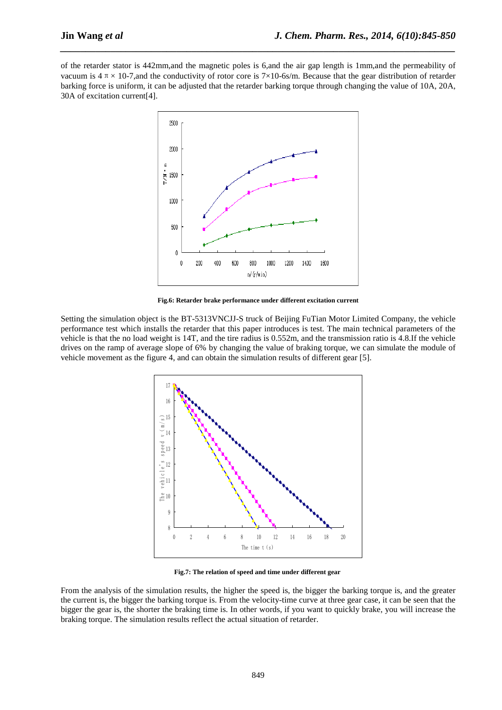of the retarder stator is 442mm,and the magnetic poles is 6,and the air gap length is 1mm,and the permeability of vacuum is  $4 \pi \times 10^{-7}$ , and the conductivity of rotor core is  $7 \times 10^{-6}$ s/m. Because that the gear distribution of retarder barking force is uniform, it can be adjusted that the retarder barking torque through changing the value of 10A, 20A, 30A of excitation current[4].

*\_\_\_\_\_\_\_\_\_\_\_\_\_\_\_\_\_\_\_\_\_\_\_\_\_\_\_\_\_\_\_\_\_\_\_\_\_\_\_\_\_\_\_\_\_\_\_\_\_\_\_\_\_\_\_\_\_\_\_\_\_\_\_\_\_\_\_\_\_\_\_\_\_\_\_\_\_\_*



**Fig.6: Retarder brake performance under different excitation current** 

Setting the simulation object is the BT-5313VNCJJ-S truck of Beijing FuTian Motor Limited Company, the vehicle performance test which installs the retarder that this paper introduces is test. The main technical parameters of the vehicle is that the no load weight is 14T, and the tire radius is 0.552m, and the transmission ratio is 4.8.If the vehicle drives on the ramp of average slope of 6% by changing the value of braking torque, we can simulate the module of vehicle movement as the figure 4, and can obtain the simulation results of different gear [5].



**Fig.7: The relation of speed and time under different gear** 

From the analysis of the simulation results, the higher the speed is, the bigger the barking torque is, and the greater the current is, the bigger the barking torque is. From the velocity-time curve at three gear case, it can be seen that the bigger the gear is, the shorter the braking time is. In other words, if you want to quickly brake, you will increase the braking torque. The simulation results reflect the actual situation of retarder.